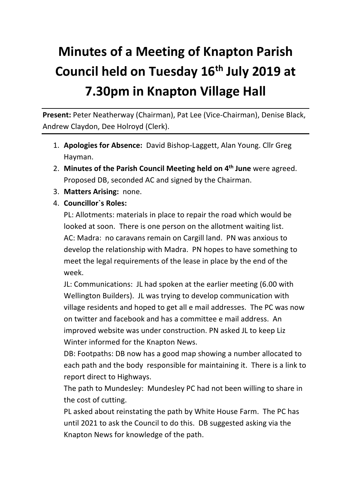## **Minutes of a Meeting of Knapton Parish Council held on Tuesday 16th July 2019 at 7.30pm in Knapton Village Hall**

Present: Peter Neatherway (Chairman), Pat Lee (Vice-Chairman), Denise Black, Andrew Claydon, Dee Holroyd (Clerk).

- 1. **Apologies for Absence:** David Bishop-Laggett, Alan Young. Cllr Greg Hayman.
- 2. **Minutes of the Parish Council Meeting held on 4th June** were agreed. Proposed DB, seconded AC and signed by the Chairman.
- 3. **Matters Arising:** none.
- 4. **Councillor`s Roles:**

PL: Allotments: materials in place to repair the road which would be looked at soon. There is one person on the allotment waiting list. AC: Madra: no caravans remain on Cargill land. PN was anxious to develop the relationship with Madra. PN hopes to have something to meet the legal requirements of the lease in place by the end of the week.

JL: Communications: JL had spoken at the earlier meeting (6.00 with Wellington Builders). JL was trying to develop communication with village residents and hoped to get all e mail addresses. The PC was now on twitter and facebook and has a committee e mail address. An improved website was under construction. PN asked JL to keep Liz Winter informed for the Knapton News.

DB: Footpaths: DB now has a good map showing a number allocated to each path and the body responsible for maintaining it. There is a link to report direct to Highways.

The path to Mundesley: Mundesley PC had not been willing to share in the cost of cutting.

PL asked about reinstating the path by White House Farm. The PC has until 2021 to ask the Council to do this. DB suggested asking via the Knapton News for knowledge of the path.